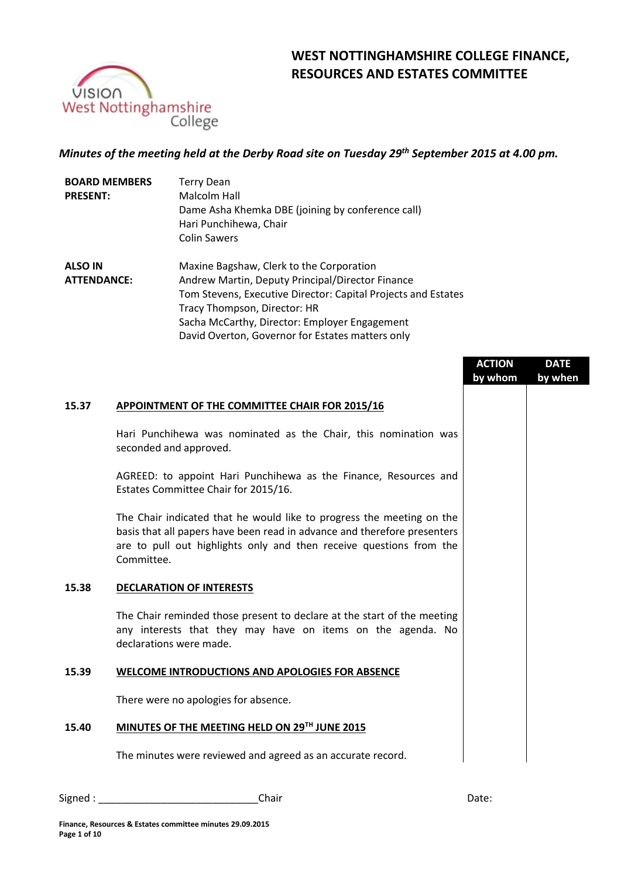

# **WEST NOTTINGHAMSHIRE COLLEGE FINANCE, RESOURCES AND ESTATES COMMITTEE**

## *Minutes of the meeting held at the Derby Road site on Tuesday 29th September 2015 at 4.00 pm.*

| <b>BOARD MEMBERS</b><br><b>PRESENT:</b> | <b>Terry Dean</b><br>Malcolm Hall<br>Dame Asha Khemka DBE (joining by conference call)<br>Hari Punchihewa, Chair<br><b>Colin Sawers</b>                                                                                                                                                            |
|-----------------------------------------|----------------------------------------------------------------------------------------------------------------------------------------------------------------------------------------------------------------------------------------------------------------------------------------------------|
| <b>ALSO IN</b><br><b>ATTENDANCE:</b>    | Maxine Bagshaw, Clerk to the Corporation<br>Andrew Martin, Deputy Principal/Director Finance<br>Tom Stevens, Executive Director: Capital Projects and Estates<br>Tracy Thompson, Director: HR<br>Sacha McCarthy, Director: Employer Engagement<br>David Overton, Governor for Estates matters only |

|       |                                                                                                                                                                                                                                        | <b>ACTION</b><br>by whom | <b>DATE</b><br>by when |
|-------|----------------------------------------------------------------------------------------------------------------------------------------------------------------------------------------------------------------------------------------|--------------------------|------------------------|
| 15.37 | APPOINTMENT OF THE COMMITTEE CHAIR FOR 2015/16                                                                                                                                                                                         |                          |                        |
|       | Hari Punchihewa was nominated as the Chair, this nomination was<br>seconded and approved.                                                                                                                                              |                          |                        |
|       | AGREED: to appoint Hari Punchihewa as the Finance, Resources and<br>Estates Committee Chair for 2015/16.                                                                                                                               |                          |                        |
|       | The Chair indicated that he would like to progress the meeting on the<br>basis that all papers have been read in advance and therefore presenters<br>are to pull out highlights only and then receive questions from the<br>Committee. |                          |                        |
| 15.38 | <b>DECLARATION OF INTERESTS</b>                                                                                                                                                                                                        |                          |                        |
|       | The Chair reminded those present to declare at the start of the meeting<br>any interests that they may have on items on the agenda. No<br>declarations were made.                                                                      |                          |                        |
| 15.39 | <b>WELCOME INTRODUCTIONS AND APOLOGIES FOR ABSENCE</b>                                                                                                                                                                                 |                          |                        |
|       | There were no apologies for absence.                                                                                                                                                                                                   |                          |                        |
| 15.40 | MINUTES OF THE MEETING HELD ON 29TH JUNE 2015                                                                                                                                                                                          |                          |                        |
|       | The minutes were reviewed and agreed as an accurate record.                                                                                                                                                                            |                          |                        |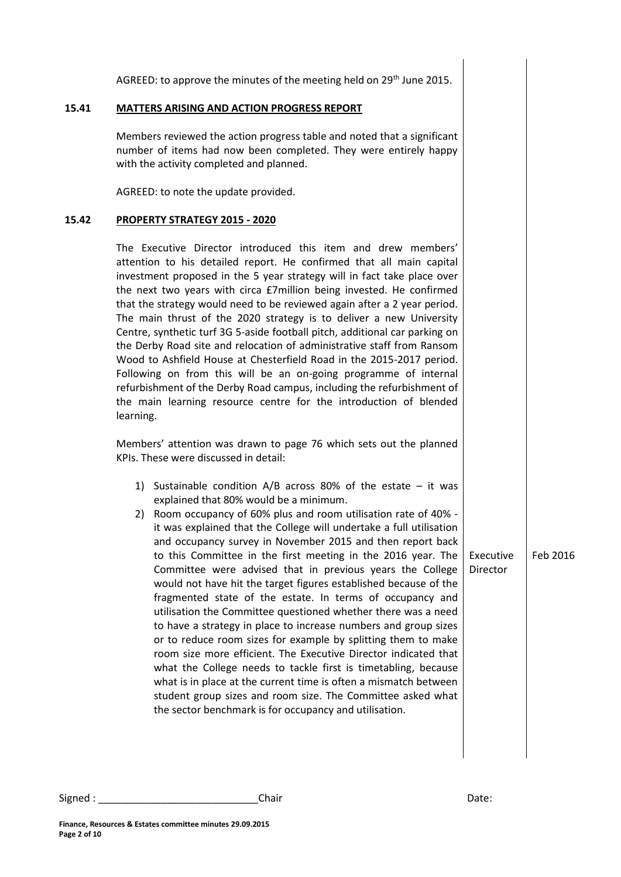AGREED: to approve the minutes of the meeting held on 29<sup>th</sup> June 2015.

### **15.41 MATTERS ARISING AND ACTION PROGRESS REPORT**

Members reviewed the action progress table and noted that a significant number of items had now been completed. They were entirely happy with the activity completed and planned.

AGREED: to note the update provided.

### **15.42 PROPERTY STRATEGY 2015 - 2020**

The Executive Director introduced this item and drew members' attention to his detailed report. He confirmed that all main capital investment proposed in the 5 year strategy will in fact take place over the next two years with circa £7million being invested. He confirmed that the strategy would need to be reviewed again after a 2 year period. The main thrust of the 2020 strategy is to deliver a new University Centre, synthetic turf 3G 5-aside football pitch, additional car parking on the Derby Road site and relocation of administrative staff from Ransom Wood to Ashfield House at Chesterfield Road in the 2015-2017 period. Following on from this will be an on-going programme of internal refurbishment of the Derby Road campus, including the refurbishment of the main learning resource centre for the introduction of blended learning.

Members' attention was drawn to page 76 which sets out the planned KPIs. These were discussed in detail:

- 1) Sustainable condition A/B across 80% of the estate it was explained that 80% would be a minimum.
- 2) Room occupancy of 60% plus and room utilisation rate of 40% it was explained that the College will undertake a full utilisation and occupancy survey in November 2015 and then report back to this Committee in the first meeting in the 2016 year. The Committee were advised that in previous years the College would not have hit the target figures established because of the fragmented state of the estate. In terms of occupancy and utilisation the Committee questioned whether there was a need to have a strategy in place to increase numbers and group sizes or to reduce room sizes for example by splitting them to make room size more efficient. The Executive Director indicated that what the College needs to tackle first is timetabling, because what is in place at the current time is often a mismatch between student group sizes and room size. The Committee asked what the sector benchmark is for occupancy and utilisation.

Executive Feb 2016

Director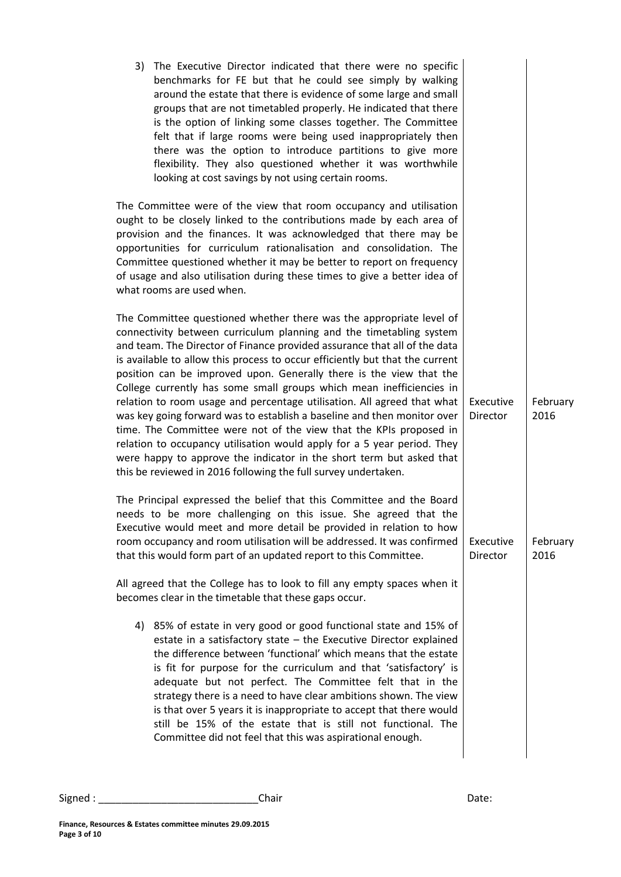| The Executive Director indicated that there were no specific<br>3)<br>benchmarks for FE but that he could see simply by walking<br>around the estate that there is evidence of some large and small<br>groups that are not timetabled properly. He indicated that there<br>is the option of linking some classes together. The Committee<br>felt that if large rooms were being used inappropriately then<br>there was the option to introduce partitions to give more<br>flexibility. They also questioned whether it was worthwhile<br>looking at cost savings by not using certain rooms.                                                                                                                                                                                                                                                                                                            |                       |                  |
|---------------------------------------------------------------------------------------------------------------------------------------------------------------------------------------------------------------------------------------------------------------------------------------------------------------------------------------------------------------------------------------------------------------------------------------------------------------------------------------------------------------------------------------------------------------------------------------------------------------------------------------------------------------------------------------------------------------------------------------------------------------------------------------------------------------------------------------------------------------------------------------------------------|-----------------------|------------------|
| The Committee were of the view that room occupancy and utilisation<br>ought to be closely linked to the contributions made by each area of<br>provision and the finances. It was acknowledged that there may be<br>opportunities for curriculum rationalisation and consolidation. The<br>Committee questioned whether it may be better to report on frequency<br>of usage and also utilisation during these times to give a better idea of<br>what rooms are used when.                                                                                                                                                                                                                                                                                                                                                                                                                                |                       |                  |
| The Committee questioned whether there was the appropriate level of<br>connectivity between curriculum planning and the timetabling system<br>and team. The Director of Finance provided assurance that all of the data<br>is available to allow this process to occur efficiently but that the current<br>position can be improved upon. Generally there is the view that the<br>College currently has some small groups which mean inefficiencies in<br>relation to room usage and percentage utilisation. All agreed that what<br>was key going forward was to establish a baseline and then monitor over<br>time. The Committee were not of the view that the KPIs proposed in<br>relation to occupancy utilisation would apply for a 5 year period. They<br>were happy to approve the indicator in the short term but asked that<br>this be reviewed in 2016 following the full survey undertaken. | Executive<br>Director | February<br>2016 |
| The Principal expressed the belief that this Committee and the Board<br>needs to be more challenging on this issue. She agreed that the<br>Executive would meet and more detail be provided in relation to how<br>room occupancy and room utilisation will be addressed. It was confirmed<br>that this would form part of an updated report to this Committee.<br>All agreed that the College has to look to fill any empty spaces when it                                                                                                                                                                                                                                                                                                                                                                                                                                                              | Executive<br>Director | February<br>2016 |
| becomes clear in the timetable that these gaps occur.<br>4) 85% of estate in very good or good functional state and 15% of<br>estate in a satisfactory state - the Executive Director explained<br>the difference between 'functional' which means that the estate<br>is fit for purpose for the curriculum and that 'satisfactory' is<br>adequate but not perfect. The Committee felt that in the<br>strategy there is a need to have clear ambitions shown. The view<br>is that over 5 years it is inappropriate to accept that there would<br>still be 15% of the estate that is still not functional. The<br>Committee did not feel that this was aspirational enough.                                                                                                                                                                                                                              |                       |                  |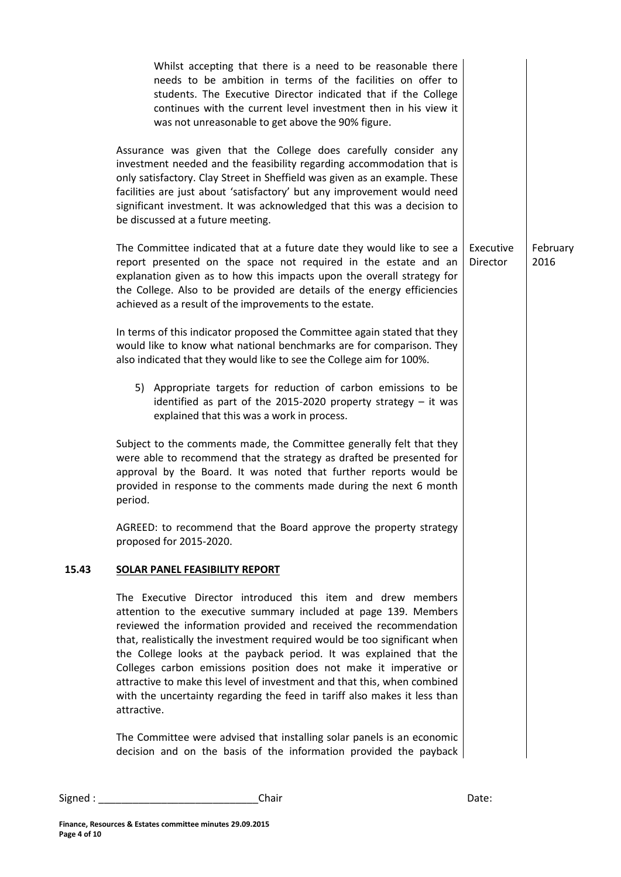|       | Whilst accepting that there is a need to be reasonable there<br>needs to be ambition in terms of the facilities on offer to<br>students. The Executive Director indicated that if the College<br>continues with the current level investment then in his view it<br>was not unreasonable to get above the 90% figure.                                                                                                                                                                                                                                                                                 |                       |                  |
|-------|-------------------------------------------------------------------------------------------------------------------------------------------------------------------------------------------------------------------------------------------------------------------------------------------------------------------------------------------------------------------------------------------------------------------------------------------------------------------------------------------------------------------------------------------------------------------------------------------------------|-----------------------|------------------|
|       | Assurance was given that the College does carefully consider any<br>investment needed and the feasibility regarding accommodation that is<br>only satisfactory. Clay Street in Sheffield was given as an example. These<br>facilities are just about 'satisfactory' but any improvement would need<br>significant investment. It was acknowledged that this was a decision to<br>be discussed at a future meeting.                                                                                                                                                                                    |                       |                  |
|       | The Committee indicated that at a future date they would like to see a<br>report presented on the space not required in the estate and an<br>explanation given as to how this impacts upon the overall strategy for<br>the College. Also to be provided are details of the energy efficiencies<br>achieved as a result of the improvements to the estate.                                                                                                                                                                                                                                             | Executive<br>Director | February<br>2016 |
|       | In terms of this indicator proposed the Committee again stated that they<br>would like to know what national benchmarks are for comparison. They<br>also indicated that they would like to see the College aim for 100%.                                                                                                                                                                                                                                                                                                                                                                              |                       |                  |
|       | 5) Appropriate targets for reduction of carbon emissions to be<br>identified as part of the 2015-2020 property strategy $-$ it was<br>explained that this was a work in process.                                                                                                                                                                                                                                                                                                                                                                                                                      |                       |                  |
|       | Subject to the comments made, the Committee generally felt that they<br>were able to recommend that the strategy as drafted be presented for<br>approval by the Board. It was noted that further reports would be<br>provided in response to the comments made during the next 6 month<br>period.                                                                                                                                                                                                                                                                                                     |                       |                  |
|       | AGREED: to recommend that the Board approve the property strategy<br>proposed for 2015-2020.                                                                                                                                                                                                                                                                                                                                                                                                                                                                                                          |                       |                  |
| 15.43 | <b>SOLAR PANEL FEASIBILITY REPORT</b>                                                                                                                                                                                                                                                                                                                                                                                                                                                                                                                                                                 |                       |                  |
|       | The Executive Director introduced this item and drew members<br>attention to the executive summary included at page 139. Members<br>reviewed the information provided and received the recommendation<br>that, realistically the investment required would be too significant when<br>the College looks at the payback period. It was explained that the<br>Colleges carbon emissions position does not make it imperative or<br>attractive to make this level of investment and that this, when combined<br>with the uncertainty regarding the feed in tariff also makes it less than<br>attractive. |                       |                  |
|       | The Committee were advised that installing solar panels is an economic<br>decision and on the basis of the information provided the payback                                                                                                                                                                                                                                                                                                                                                                                                                                                           |                       |                  |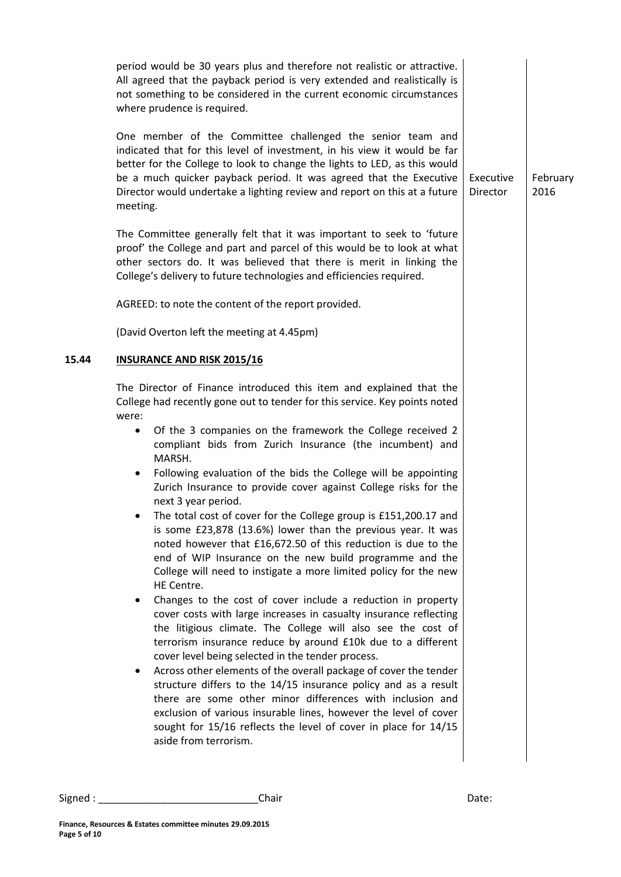|       | period would be 30 years plus and therefore not realistic or attractive.<br>All agreed that the payback period is very extended and realistically is<br>not something to be considered in the current economic circumstances<br>where prudence is required.                                                                                                                                                                                                                                                                                                                                                                                                                                                                                                                                                                                                                                                                                                                                                                                                                                                                                                                                                                                                                                                                                                                                                                                                                                                                           |                       |                  |
|-------|---------------------------------------------------------------------------------------------------------------------------------------------------------------------------------------------------------------------------------------------------------------------------------------------------------------------------------------------------------------------------------------------------------------------------------------------------------------------------------------------------------------------------------------------------------------------------------------------------------------------------------------------------------------------------------------------------------------------------------------------------------------------------------------------------------------------------------------------------------------------------------------------------------------------------------------------------------------------------------------------------------------------------------------------------------------------------------------------------------------------------------------------------------------------------------------------------------------------------------------------------------------------------------------------------------------------------------------------------------------------------------------------------------------------------------------------------------------------------------------------------------------------------------------|-----------------------|------------------|
|       | One member of the Committee challenged the senior team and<br>indicated that for this level of investment, in his view it would be far<br>better for the College to look to change the lights to LED, as this would<br>be a much quicker payback period. It was agreed that the Executive<br>Director would undertake a lighting review and report on this at a future<br>meeting.                                                                                                                                                                                                                                                                                                                                                                                                                                                                                                                                                                                                                                                                                                                                                                                                                                                                                                                                                                                                                                                                                                                                                    | Executive<br>Director | February<br>2016 |
|       | The Committee generally felt that it was important to seek to 'future<br>proof' the College and part and parcel of this would be to look at what<br>other sectors do. It was believed that there is merit in linking the<br>College's delivery to future technologies and efficiencies required.                                                                                                                                                                                                                                                                                                                                                                                                                                                                                                                                                                                                                                                                                                                                                                                                                                                                                                                                                                                                                                                                                                                                                                                                                                      |                       |                  |
|       | AGREED: to note the content of the report provided.                                                                                                                                                                                                                                                                                                                                                                                                                                                                                                                                                                                                                                                                                                                                                                                                                                                                                                                                                                                                                                                                                                                                                                                                                                                                                                                                                                                                                                                                                   |                       |                  |
|       | (David Overton left the meeting at 4.45pm)                                                                                                                                                                                                                                                                                                                                                                                                                                                                                                                                                                                                                                                                                                                                                                                                                                                                                                                                                                                                                                                                                                                                                                                                                                                                                                                                                                                                                                                                                            |                       |                  |
| 15.44 | <b>INSURANCE AND RISK 2015/16</b>                                                                                                                                                                                                                                                                                                                                                                                                                                                                                                                                                                                                                                                                                                                                                                                                                                                                                                                                                                                                                                                                                                                                                                                                                                                                                                                                                                                                                                                                                                     |                       |                  |
|       | The Director of Finance introduced this item and explained that the<br>College had recently gone out to tender for this service. Key points noted<br>were:<br>Of the 3 companies on the framework the College received 2<br>$\bullet$<br>compliant bids from Zurich Insurance (the incumbent) and<br>MARSH.<br>Following evaluation of the bids the College will be appointing<br>$\bullet$<br>Zurich Insurance to provide cover against College risks for the<br>next 3 year period.<br>The total cost of cover for the College group is £151,200.17 and<br>is some £23,878 (13.6%) lower than the previous year. It was<br>noted however that £16,672.50 of this reduction is due to the<br>end of WIP Insurance on the new build programme and the<br>College will need to instigate a more limited policy for the new<br>HE Centre.<br>Changes to the cost of cover include a reduction in property<br>cover costs with large increases in casualty insurance reflecting<br>the litigious climate. The College will also see the cost of<br>terrorism insurance reduce by around £10k due to a different<br>cover level being selected in the tender process.<br>Across other elements of the overall package of cover the tender<br>structure differs to the 14/15 insurance policy and as a result<br>there are some other minor differences with inclusion and<br>exclusion of various insurable lines, however the level of cover<br>sought for 15/16 reflects the level of cover in place for 14/15<br>aside from terrorism. |                       |                  |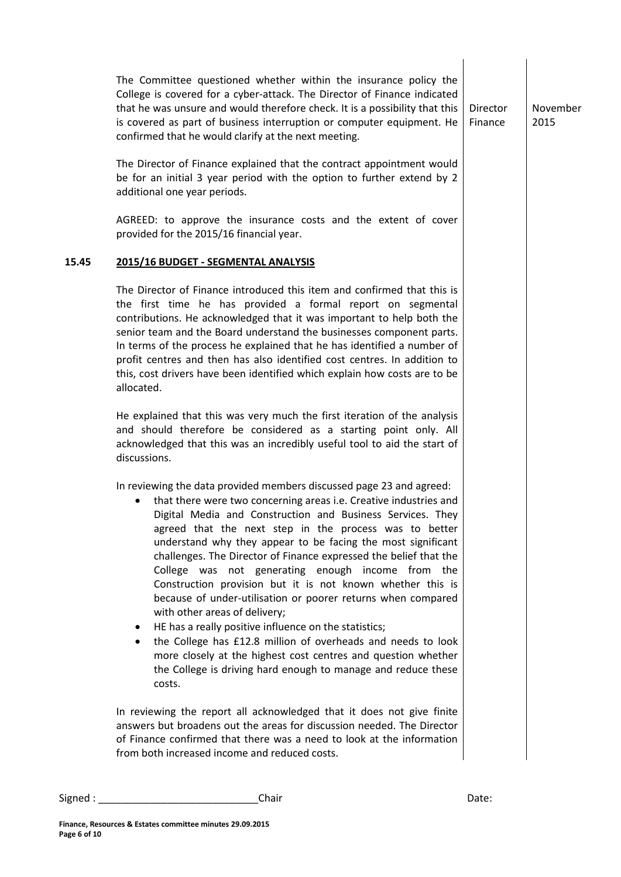The Committee questioned whether within the insurance policy the College is covered for a cyber-attack. The Director of Finance indicated that he was unsure and would therefore check. It is a possibility that this is covered as part of business interruption or computer equipment. He confirmed that he would clarify at the next meeting. The Director of Finance explained that the contract appointment would be for an initial 3 year period with the option to further extend by 2 additional one year periods. AGREED: to approve the insurance costs and the extent of cover provided for the 2015/16 financial year. Director Finance November 2015 **15.45 2015/16 BUDGET - SEGMENTAL ANALYSIS** The Director of Finance introduced this item and confirmed that this is the first time he has provided a formal report on segmental contributions. He acknowledged that it was important to help both the senior team and the Board understand the businesses component parts. In terms of the process he explained that he has identified a number of profit centres and then has also identified cost centres. In addition to this, cost drivers have been identified which explain how costs are to be allocated. He explained that this was very much the first iteration of the analysis and should therefore be considered as a starting point only. All acknowledged that this was an incredibly useful tool to aid the start of discussions. In reviewing the data provided members discussed page 23 and agreed: that there were two concerning areas i.e. Creative industries and Digital Media and Construction and Business Services. They agreed that the next step in the process was to better understand why they appear to be facing the most significant challenges. The Director of Finance expressed the belief that the College was not generating enough income from the Construction provision but it is not known whether this is because of under-utilisation or poorer returns when compared with other areas of delivery; HE has a really positive influence on the statistics; the College has £12.8 million of overheads and needs to look more closely at the highest cost centres and question whether the College is driving hard enough to manage and reduce these costs. In reviewing the report all acknowledged that it does not give finite answers but broadens out the areas for discussion needed. The Director of Finance confirmed that there was a need to look at the information from both increased income and reduced costs.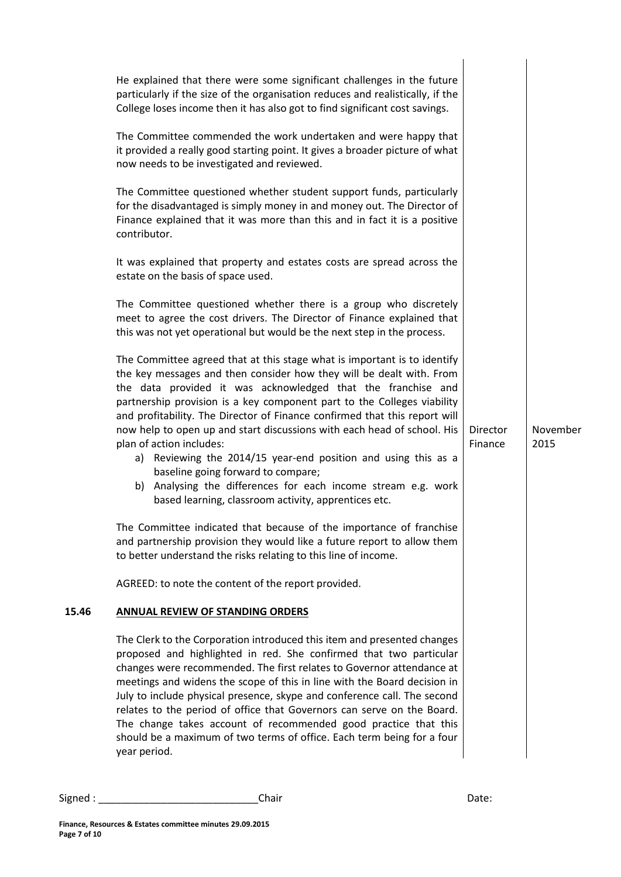| He explained that there were some significant challenges in the future<br>particularly if the size of the organisation reduces and realistically, if the<br>College loses income then it has also got to find significant cost savings.<br>The Committee commended the work undertaken and were happy that<br>it provided a really good starting point. It gives a broader picture of what                                                                                                                                                                                                                                                                                                                        |                                            |                  |
|-------------------------------------------------------------------------------------------------------------------------------------------------------------------------------------------------------------------------------------------------------------------------------------------------------------------------------------------------------------------------------------------------------------------------------------------------------------------------------------------------------------------------------------------------------------------------------------------------------------------------------------------------------------------------------------------------------------------|--------------------------------------------|------------------|
| The Committee questioned whether student support funds, particularly<br>for the disadvantaged is simply money in and money out. The Director of<br>Finance explained that it was more than this and in fact it is a positive<br>contributor.                                                                                                                                                                                                                                                                                                                                                                                                                                                                      |                                            |                  |
| It was explained that property and estates costs are spread across the<br>estate on the basis of space used.                                                                                                                                                                                                                                                                                                                                                                                                                                                                                                                                                                                                      |                                            |                  |
| The Committee questioned whether there is a group who discretely<br>meet to agree the cost drivers. The Director of Finance explained that<br>this was not yet operational but would be the next step in the process.                                                                                                                                                                                                                                                                                                                                                                                                                                                                                             |                                            |                  |
| The Committee agreed that at this stage what is important is to identify<br>the key messages and then consider how they will be dealt with. From<br>the data provided it was acknowledged that the franchise and<br>partnership provision is a key component part to the Colleges viability<br>and profitability. The Director of Finance confirmed that this report will<br>now help to open up and start discussions with each head of school. His<br>plan of action includes:<br>a) Reviewing the 2014/15 year-end position and using this as a<br>baseline going forward to compare;<br>b) Analysing the differences for each income stream e.g. work<br>based learning, classroom activity, apprentices etc. | Director<br>Finance                        | November<br>2015 |
| The Committee indicated that because of the importance of franchise<br>and partnership provision they would like a future report to allow them<br>to better understand the risks relating to this line of income.                                                                                                                                                                                                                                                                                                                                                                                                                                                                                                 |                                            |                  |
| AGREED: to note the content of the report provided.                                                                                                                                                                                                                                                                                                                                                                                                                                                                                                                                                                                                                                                               |                                            |                  |
| <b>ANNUAL REVIEW OF STANDING ORDERS</b>                                                                                                                                                                                                                                                                                                                                                                                                                                                                                                                                                                                                                                                                           |                                            |                  |
| The Clerk to the Corporation introduced this item and presented changes<br>proposed and highlighted in red. She confirmed that two particular<br>changes were recommended. The first relates to Governor attendance at<br>meetings and widens the scope of this in line with the Board decision in<br>July to include physical presence, skype and conference call. The second<br>relates to the period of office that Governors can serve on the Board.<br>The change takes account of recommended good practice that this<br>should be a maximum of two terms of office. Each term being for a four<br>year period.                                                                                             |                                            |                  |
|                                                                                                                                                                                                                                                                                                                                                                                                                                                                                                                                                                                                                                                                                                                   | now needs to be investigated and reviewed. |                  |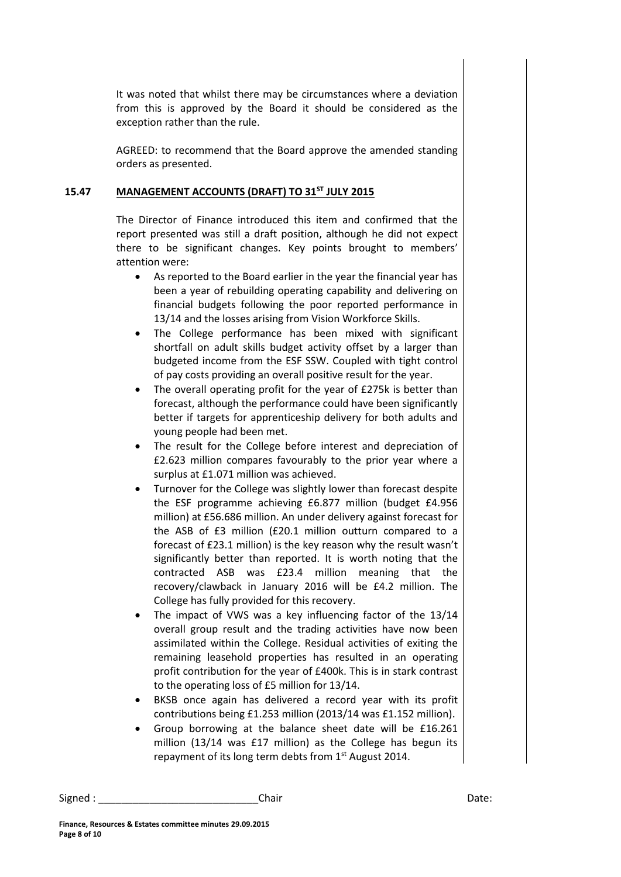It was noted that whilst there may be circumstances where a deviation from this is approved by the Board it should be considered as the exception rather than the rule.

AGREED: to recommend that the Board approve the amended standing orders as presented.

### **15.47 MANAGEMENT ACCOUNTS (DRAFT) TO 31ST JULY 2015**

The Director of Finance introduced this item and confirmed that the report presented was still a draft position, although he did not expect there to be significant changes. Key points brought to members' attention were:

- As reported to the Board earlier in the year the financial year has been a year of rebuilding operating capability and delivering on financial budgets following the poor reported performance in 13/14 and the losses arising from Vision Workforce Skills.
- The College performance has been mixed with significant shortfall on adult skills budget activity offset by a larger than budgeted income from the ESF SSW. Coupled with tight control of pay costs providing an overall positive result for the year.
- The overall operating profit for the year of £275k is better than forecast, although the performance could have been significantly better if targets for apprenticeship delivery for both adults and young people had been met.
- The result for the College before interest and depreciation of £2.623 million compares favourably to the prior year where a surplus at £1.071 million was achieved.
- Turnover for the College was slightly lower than forecast despite the ESF programme achieving £6.877 million (budget £4.956 million) at £56.686 million. An under delivery against forecast for the ASB of £3 million (£20.1 million outturn compared to a forecast of £23.1 million) is the key reason why the result wasn't significantly better than reported. It is worth noting that the contracted ASB was £23.4 million meaning that the recovery/clawback in January 2016 will be £4.2 million. The College has fully provided for this recovery.
- The impact of VWS was a key influencing factor of the 13/14 overall group result and the trading activities have now been assimilated within the College. Residual activities of exiting the remaining leasehold properties has resulted in an operating profit contribution for the year of £400k. This is in stark contrast to the operating loss of £5 million for 13/14.
- BKSB once again has delivered a record year with its profit contributions being £1.253 million (2013/14 was £1.152 million).
- Group borrowing at the balance sheet date will be £16.261 million (13/14 was £17 million) as the College has begun its repayment of its long term debts from  $1<sup>st</sup>$  August 2014.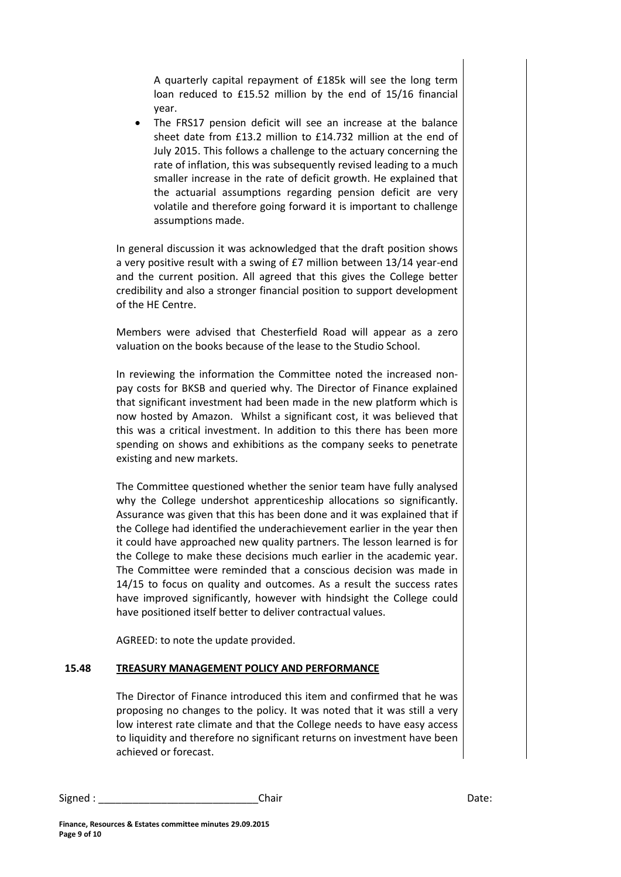A quarterly capital repayment of £185k will see the long term loan reduced to £15.52 million by the end of 15/16 financial year.

 The FRS17 pension deficit will see an increase at the balance sheet date from £13.2 million to £14.732 million at the end of July 2015. This follows a challenge to the actuary concerning the rate of inflation, this was subsequently revised leading to a much smaller increase in the rate of deficit growth. He explained that the actuarial assumptions regarding pension deficit are very volatile and therefore going forward it is important to challenge assumptions made.

In general discussion it was acknowledged that the draft position shows a very positive result with a swing of £7 million between 13/14 year-end and the current position. All agreed that this gives the College better credibility and also a stronger financial position to support development of the HE Centre.

Members were advised that Chesterfield Road will appear as a zero valuation on the books because of the lease to the Studio School.

In reviewing the information the Committee noted the increased nonpay costs for BKSB and queried why. The Director of Finance explained that significant investment had been made in the new platform which is now hosted by Amazon. Whilst a significant cost, it was believed that this was a critical investment. In addition to this there has been more spending on shows and exhibitions as the company seeks to penetrate existing and new markets.

The Committee questioned whether the senior team have fully analysed why the College undershot apprenticeship allocations so significantly. Assurance was given that this has been done and it was explained that if the College had identified the underachievement earlier in the year then it could have approached new quality partners. The lesson learned is for the College to make these decisions much earlier in the academic year. The Committee were reminded that a conscious decision was made in 14/15 to focus on quality and outcomes. As a result the success rates have improved significantly, however with hindsight the College could have positioned itself better to deliver contractual values.

AGREED: to note the update provided.

### **15.48 TREASURY MANAGEMENT POLICY AND PERFORMANCE**

The Director of Finance introduced this item and confirmed that he was proposing no changes to the policy. It was noted that it was still a very low interest rate climate and that the College needs to have easy access to liquidity and therefore no significant returns on investment have been achieved or forecast.

Signed : \_\_\_\_\_\_\_\_\_\_\_\_\_\_\_\_\_\_\_\_\_\_\_\_\_\_\_\_\_\_\_\_\_Chair \_\_\_\_\_\_\_\_\_\_\_\_\_\_\_\_\_\_\_\_\_\_\_\_\_\_\_\_\_\_\_\_Date: